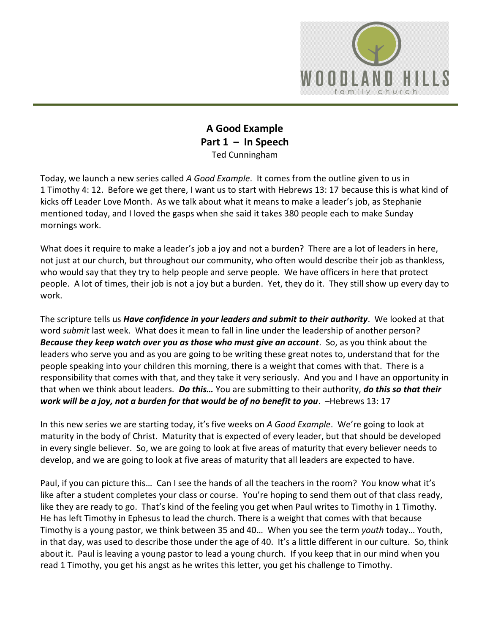

## **A Good Example Part 1 – In Speech**  Ted Cunningham

Today, we launch a new series called *A Good Example*. It comes from the outline given to us in 1 Timothy 4: 12. Before we get there, I want us to start with Hebrews 13: 17 because this is what kind of kicks off Leader Love Month. As we talk about what it means to make a leader's job, as Stephanie mentioned today, and I loved the gasps when she said it takes 380 people each to make Sunday mornings work.

What does it require to make a leader's job a joy and not a burden? There are a lot of leaders in here, not just at our church, but throughout our community, who often would describe their job as thankless, who would say that they try to help people and serve people. We have officers in here that protect people. A lot of times, their job is not a joy but a burden. Yet, they do it. They still show up every day to work.

The scripture tells us *Have confidence in your leaders and submit to their authority*. We looked at that word *submit* last week. What does it mean to fall in line under the leadership of another person? *Because they keep watch over you as those who must give an account*. So, as you think about the leaders who serve you and as you are going to be writing these great notes to, understand that for the people speaking into your children this morning, there is a weight that comes with that. There is a responsibility that comes with that, and they take it very seriously. And you and I have an opportunity in that when we think about leaders. *Do this…* You are submitting to their authority, *do this so that their work will be a joy, not a burden for that would be of no benefit to you*. –Hebrews 13: 17

In this new series we are starting today, it's five weeks on *A Good Example*. We're going to look at maturity in the body of Christ. Maturity that is expected of every leader, but that should be developed in every single believer. So, we are going to look at five areas of maturity that every believer needs to develop, and we are going to look at five areas of maturity that all leaders are expected to have.

Paul, if you can picture this… Can I see the hands of all the teachers in the room? You know what it's like after a student completes your class or course. You're hoping to send them out of that class ready, like they are ready to go. That's kind of the feeling you get when Paul writes to Timothy in 1 Timothy. He has left Timothy in Ephesus to lead the church. There is a weight that comes with that because Timothy is a young pastor, we think between 35 and 40… When you see the term *youth* today… Youth, in that day, was used to describe those under the age of 40. It's a little different in our culture. So, think about it. Paul is leaving a young pastor to lead a young church. If you keep that in our mind when you read 1 Timothy, you get his angst as he writes this letter, you get his challenge to Timothy.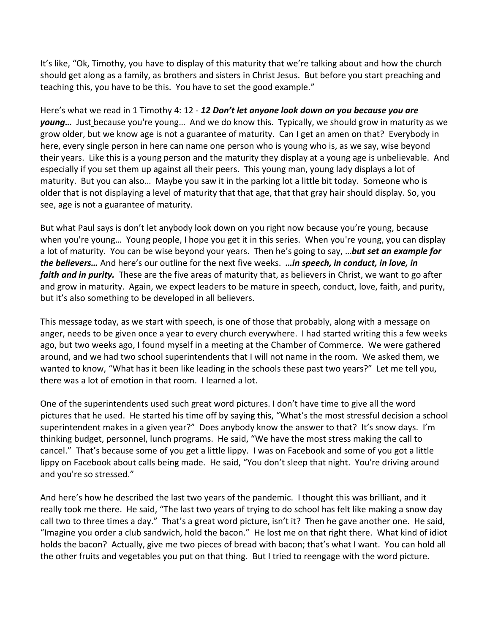It's like, "Ok, Timothy, you have to display of this maturity that we're talking about and how the church should get along as a family, as brothers and sisters in Christ Jesus. But before you start preaching and teaching this, you have to be this. You have to set the good example."

Here's what we read in 1 Timothy 4: 12 - *12 Don't let anyone look down on you because you are young…* Just because you're young… And we do know this. Typically, we should grow in maturity as we grow older, but we know age is not a guarantee of maturity. Can I get an amen on that? Everybody in here, every single person in here can name one person who is young who is, as we say, wise beyond their years. Like this is a young person and the maturity they display at a young age is unbelievable. And especially if you set them up against all their peers. This young man, young lady displays a lot of maturity. But you can also… Maybe you saw it in the parking lot a little bit today. Someone who is older that is not displaying a level of maturity that that age, that that gray hair should display. So, you see, age is not a guarantee of maturity.

But what Paul says is don't let anybody look down on you right now because you're young, because when you're young… Young people, I hope you get it in this series. When you're young, you can display a lot of maturity. You can be wise beyond your years. Then he's going to say, …*but set an example for the believers…* And here's our outline for the next five weeks. *…in speech, in conduct, in love, in faith and in purity.* These are the five areas of maturity that, as believers in Christ, we want to go after and grow in maturity. Again, we expect leaders to be mature in speech, conduct, love, faith, and purity, but it's also something to be developed in all believers.

This message today, as we start with speech, is one of those that probably, along with a message on anger, needs to be given once a year to every church everywhere. I had started writing this a few weeks ago, but two weeks ago, I found myself in a meeting at the Chamber of Commerce. We were gathered around, and we had two school superintendents that I will not name in the room. We asked them, we wanted to know, "What has it been like leading in the schools these past two years?" Let me tell you, there was a lot of emotion in that room. I learned a lot.

One of the superintendents used such great word pictures. I don't have time to give all the word pictures that he used. He started his time off by saying this, "What's the most stressful decision a school superintendent makes in a given year?" Does anybody know the answer to that? It's snow days. I'm thinking budget, personnel, lunch programs. He said, "We have the most stress making the call to cancel." That's because some of you get a little lippy. I was on Facebook and some of you got a little lippy on Facebook about calls being made. He said, "You don't sleep that night. You're driving around and you're so stressed."

And here's how he described the last two years of the pandemic. I thought this was brilliant, and it really took me there. He said, "The last two years of trying to do school has felt like making a snow day call two to three times a day." That's a great word picture, isn't it? Then he gave another one. He said, "Imagine you order a club sandwich, hold the bacon." He lost me on that right there. What kind of idiot holds the bacon? Actually, give me two pieces of bread with bacon; that's what I want. You can hold all the other fruits and vegetables you put on that thing. But I tried to reengage with the word picture.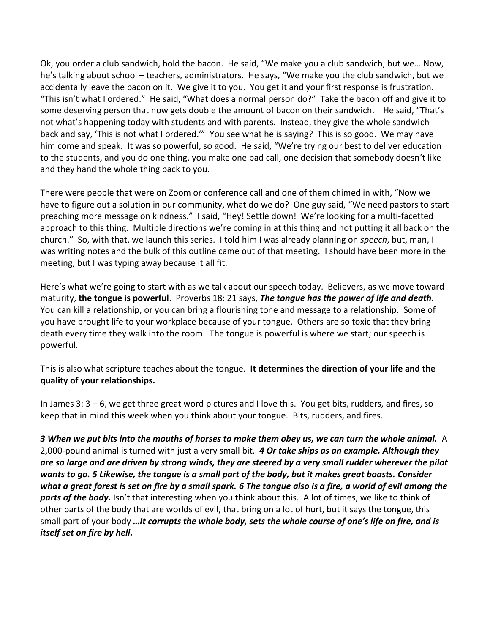Ok, you order a club sandwich, hold the bacon. He said, "We make you a club sandwich, but we… Now, he's talking about school – teachers, administrators. He says, "We make you the club sandwich, but we accidentally leave the bacon on it. We give it to you. You get it and your first response is frustration. "This isn't what I ordered." He said, "What does a normal person do?" Take the bacon off and give it to some deserving person that now gets double the amount of bacon on their sandwich. He said, "That's not what's happening today with students and with parents. Instead, they give the whole sandwich back and say, 'This is not what I ordered.'" You see what he is saying? This is so good. We may have him come and speak. It was so powerful, so good. He said, "We're trying our best to deliver education to the students, and you do one thing, you make one bad call, one decision that somebody doesn't like and they hand the whole thing back to you.

There were people that were on Zoom or conference call and one of them chimed in with, "Now we have to figure out a solution in our community, what do we do? One guy said, "We need pastors to start preaching more message on kindness." I said, "Hey! Settle down! We're looking for a multi-facetted approach to this thing. Multiple directions we're coming in at this thing and not putting it all back on the church." So, with that, we launch this series. I told him I was already planning on *speech*, but, man, I was writing notes and the bulk of this outline came out of that meeting. I should have been more in the meeting, but I was typing away because it all fit.

Here's what we're going to start with as we talk about our speech today. Believers, as we move toward maturity, **the tongue is powerful**. Proverbs 18: 21 says, *The tongue has the power of life and death.*  You can kill a relationship, or you can bring a flourishing tone and message to a relationship. Some of you have brought life to your workplace because of your tongue. Others are so toxic that they bring death every time they walk into the room. The tongue is powerful is where we start; our speech is powerful.

This is also what scripture teaches about the tongue. **It determines the direction of your life and the quality of your relationships.** 

In James 3: 3 – 6, we get three great word pictures and I love this. You get bits, rudders, and fires, so keep that in mind this week when you think about your tongue. Bits, rudders, and fires.

*3 When we put bits into the mouths of horses to make them obey us, we can turn the whole animal.* A 2,000-pound animal is turned with just a very small bit. *4 Or take ships as an example. Although they are so large and are driven by strong winds, they are steered by a very small rudder wherever the pilot wants to go. 5 Likewise, the tongue is a small part of the body, but it makes great boasts. Consider what a great forest is set on fire by a small spark. 6 The tongue also is a fire, a world of evil among the parts of the body.* Isn't that interesting when you think about this. A lot of times, we like to think of other parts of the body that are worlds of evil, that bring on a lot of hurt, but it says the tongue, this small part of your body *…It corrupts the whole body, sets the whole course of one's life on fire, and is itself set on fire by hell.*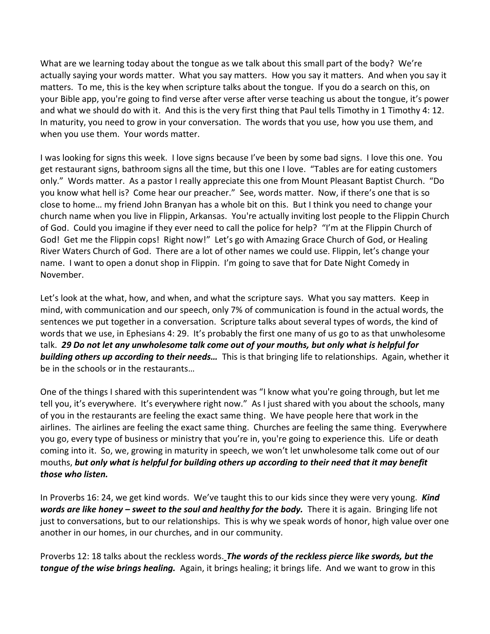What are we learning today about the tongue as we talk about this small part of the body? We're actually saying your words matter. What you say matters. How you say it matters. And when you say it matters. To me, this is the key when scripture talks about the tongue. If you do a search on this, on your Bible app, you're going to find verse after verse after verse teaching us about the tongue, it's power and what we should do with it. And this is the very first thing that Paul tells Timothy in 1 Timothy 4: 12. In maturity, you need to grow in your conversation. The words that you use, how you use them, and when you use them. Your words matter.

I was looking for signs this week. I love signs because I've been by some bad signs. I love this one. You get restaurant signs, bathroom signs all the time, but this one I love. "Tables are for eating customers only." Words matter. As a pastor I really appreciate this one from Mount Pleasant Baptist Church. "Do you know what hell is? Come hear our preacher." See, words matter. Now, if there's one that is so close to home… my friend John Branyan has a whole bit on this. But I think you need to change your church name when you live in Flippin, Arkansas. You're actually inviting lost people to the Flippin Church of God. Could you imagine if they ever need to call the police for help? "I'm at the Flippin Church of God! Get me the Flippin cops! Right now!" Let's go with Amazing Grace Church of God, or Healing River Waters Church of God. There are a lot of other names we could use. Flippin, let's change your name. I want to open a donut shop in Flippin. I'm going to save that for Date Night Comedy in November.

Let's look at the what, how, and when, and what the scripture says. What you say matters. Keep in mind, with communication and our speech, only 7% of communication is found in the actual words, the sentences we put together in a conversation. Scripture talks about several types of words, the kind of words that we use, in Ephesians 4: 29. It's probably the first one many of us go to as that unwholesome talk. *29 Do not let any unwholesome talk come out of your mouths, but only what is helpful for building others up according to their needs…* This is that bringing life to relationships. Again, whether it be in the schools or in the restaurants…

One of the things I shared with this superintendent was "I know what you're going through, but let me tell you, it's everywhere. It's everywhere right now." As I just shared with you about the schools, many of you in the restaurants are feeling the exact same thing. We have people here that work in the airlines. The airlines are feeling the exact same thing. Churches are feeling the same thing. Everywhere you go, every type of business or ministry that you're in, you're going to experience this. Life or death coming into it. So, we, growing in maturity in speech, we won't let unwholesome talk come out of our mouths, *but only what is helpful for building others up according to their need that it may benefit those who listen.*

In Proverbs 16: 24, we get kind words. We've taught this to our kids since they were very young. *Kind words are like honey – sweet to the soul and healthy for the body.* There it is again. Bringing life not just to conversations, but to our relationships. This is why we speak words of honor, high value over one another in our homes, in our churches, and in our community.

Proverbs 12: 18 talks about the reckless words. *The words of the reckless pierce like swords, but the tongue of the wise brings healing.* Again, it brings healing; it brings life. And we want to grow in this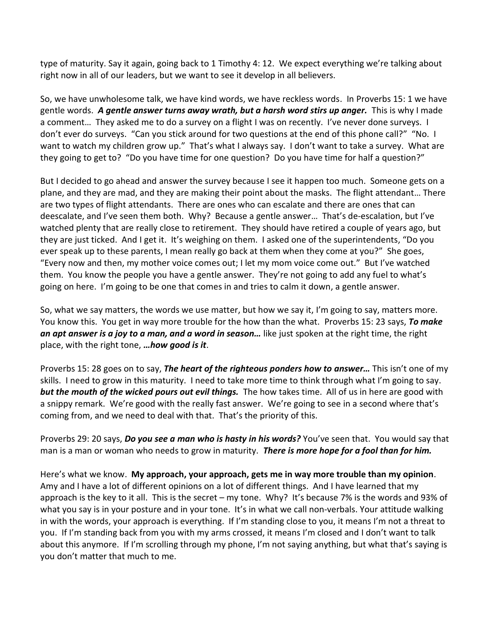type of maturity. Say it again, going back to 1 Timothy 4: 12. We expect everything we're talking about right now in all of our leaders, but we want to see it develop in all believers.

So, we have unwholesome talk, we have kind words, we have reckless words. In Proverbs 15: 1 we have gentle words. *A gentle answer turns away wrath, but a harsh word stirs up anger.* This is why I made a comment… They asked me to do a survey on a flight I was on recently. I've never done surveys. I don't ever do surveys. "Can you stick around for two questions at the end of this phone call?" "No. I want to watch my children grow up." That's what I always say. I don't want to take a survey. What are they going to get to? "Do you have time for one question? Do you have time for half a question?"

But I decided to go ahead and answer the survey because I see it happen too much. Someone gets on a plane, and they are mad, and they are making their point about the masks. The flight attendant… There are two types of flight attendants. There are ones who can escalate and there are ones that can deescalate, and I've seen them both. Why? Because a gentle answer… That's de-escalation, but I've watched plenty that are really close to retirement. They should have retired a couple of years ago, but they are just ticked. And I get it. It's weighing on them. I asked one of the superintendents, "Do you ever speak up to these parents, I mean really go back at them when they come at you?" She goes, "Every now and then, my mother voice comes out; I let my mom voice come out." But I've watched them. You know the people you have a gentle answer. They're not going to add any fuel to what's going on here. I'm going to be one that comes in and tries to calm it down, a gentle answer.

So, what we say matters, the words we use matter, but how we say it, I'm going to say, matters more. You know this. You get in way more trouble for the how than the what. Proverbs 15: 23 says, *To make an apt answer is a joy to a man, and a word in season…* like just spoken at the right time, the right place, with the right tone, *…how good is it*.

Proverbs 15: 28 goes on to say, *The heart of the righteous ponders how to answer…* This isn't one of my skills. I need to grow in this maturity. I need to take more time to think through what I'm going to say. *but the mouth of the wicked pours out evil things.* The how takes time. All of us in here are good with a snippy remark. We're good with the really fast answer. We're going to see in a second where that's coming from, and we need to deal with that. That's the priority of this.

Proverbs 29: 20 says, *Do you see a man who is hasty in his words?* You've seen that. You would say that man is a man or woman who needs to grow in maturity. *There is more hope for a fool than for him.*

Here's what we know. **My approach, your approach, gets me in way more trouble than my opinion**. Amy and I have a lot of different opinions on a lot of different things. And I have learned that my approach is the key to it all. This is the secret – my tone. Why? It's because 7% is the words and 93% of what you say is in your posture and in your tone. It's in what we call non-verbals. Your attitude walking in with the words, your approach is everything. If I'm standing close to you, it means I'm not a threat to you. If I'm standing back from you with my arms crossed, it means I'm closed and I don't want to talk about this anymore. If I'm scrolling through my phone, I'm not saying anything, but what that's saying is you don't matter that much to me.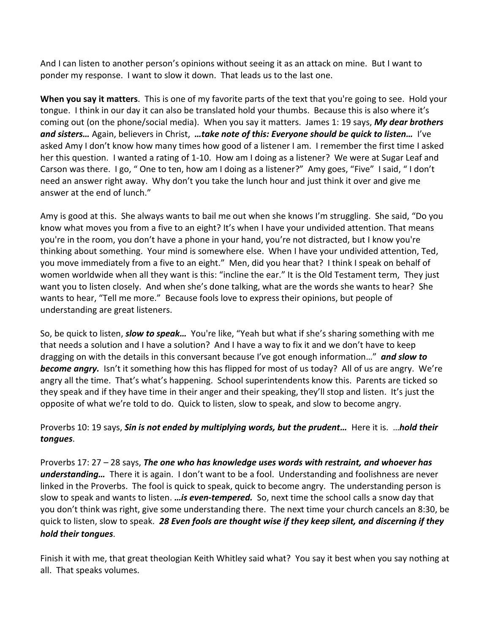And I can listen to another person's opinions without seeing it as an attack on mine. But I want to ponder my response. I want to slow it down. That leads us to the last one.

**When you say it matters**. This is one of my favorite parts of the text that you're going to see. Hold your tongue. I think in our day it can also be translated hold your thumbs. Because this is also where it's coming out (on the phone/social media). When you say it matters. James 1: 19 says, *My dear brothers and sisters…* Again, believers in Christ, *…take note of this: Everyone should be quick to listen…* I've asked Amy I don't know how many times how good of a listener I am. I remember the first time I asked her this question. I wanted a rating of 1-10. How am I doing as a listener? We were at Sugar Leaf and Carson was there. I go, " One to ten, how am I doing as a listener?" Amy goes, "Five" I said, " I don't need an answer right away. Why don't you take the lunch hour and just think it over and give me answer at the end of lunch."

Amy is good at this. She always wants to bail me out when she knows I'm struggling. She said, "Do you know what moves you from a five to an eight? It's when I have your undivided attention. That means you're in the room, you don't have a phone in your hand, you're not distracted, but I know you're thinking about something. Your mind is somewhere else. When I have your undivided attention, Ted, you move immediately from a five to an eight." Men, did you hear that? I think I speak on behalf of women worldwide when all they want is this: "incline the ear." It is the Old Testament term, They just want you to listen closely. And when she's done talking, what are the words she wants to hear? She wants to hear, "Tell me more." Because fools love to express their opinions, but people of understanding are great listeners.

So, be quick to listen, *slow to speak…* You're like, "Yeah but what if she's sharing something with me that needs a solution and I have a solution? And I have a way to fix it and we don't have to keep dragging on with the details in this conversant because I've got enough information…" *and slow to become angry.* Isn't it something how this has flipped for most of us today? All of us are angry. We're angry all the time. That's what's happening. School superintendents know this. Parents are ticked so they speak and if they have time in their anger and their speaking, they'll stop and listen. It's just the opposite of what we're told to do. Quick to listen, slow to speak, and slow to become angry.

Proverbs 10: 19 says, *Sin is not ended by multiplying words, but the prudent…* Here it is. …*hold their tongues*.

Proverbs 17: 27 – 28 says, *The one who has knowledge uses words with restraint, and whoever has understanding…* There it is again. I don't want to be a fool. Understanding and foolishness are never linked in the Proverbs. The fool is quick to speak, quick to become angry. The understanding person is slow to speak and wants to listen. *…is even-tempered.* So, next time the school calls a snow day that you don't think was right, give some understanding there. The next time your church cancels an 8:30, be quick to listen, slow to speak. *28 Even fools are thought wise if they keep silent, and discerning if they hold their tongues*.

Finish it with me, that great theologian Keith Whitley said what? You say it best when you say nothing at all. That speaks volumes.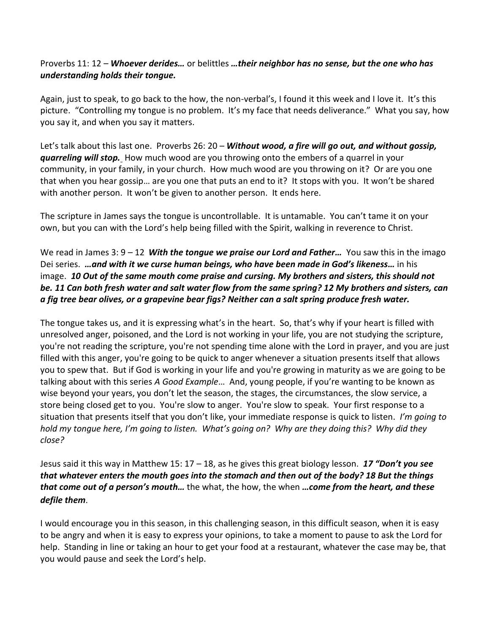## Proverbs 11: 12 – *Whoever derides…* or belittles *…their neighbor has no sense, but the one who has understanding holds their tongue.*

Again, just to speak, to go back to the how, the non-verbal's, I found it this week and I love it. It's this picture. "Controlling my tongue is no problem. It's my face that needs deliverance." What you say, how you say it, and when you say it matters.

Let's talk about this last one. Proverbs 26: 20 – *Without wood, a fire will go out, and without gossip, quarreling will stop.* How much wood are you throwing onto the embers of a quarrel in your community, in your family, in your church. How much wood are you throwing on it? Or are you one that when you hear gossip… are you one that puts an end to it? It stops with you. It won't be shared with another person. It won't be given to another person. It ends here.

The scripture in James says the tongue is uncontrollable. It is untamable. You can't tame it on your own, but you can with the Lord's help being filled with the Spirit, walking in reverence to Christ.

## We read in James 3: 9 – 12 *With the tongue we praise our Lord and Father…* You saw this in the imago Dei series. *…and with it we curse human beings, who have been made in God's likeness…* in his image. *10 Out of the same mouth come praise and cursing. My brothers and sisters, this should not be. 11 Can both fresh water and salt water flow from the same spring? 12 My brothers and sisters, can a fig tree bear olives, or a grapevine bear figs? Neither can a salt spring produce fresh water.*

The tongue takes us, and it is expressing what's in the heart. So, that's why if your heart is filled with unresolved anger, poisoned, and the Lord is not working in your life, you are not studying the scripture, you're not reading the scripture, you're not spending time alone with the Lord in prayer, and you are just filled with this anger, you're going to be quick to anger whenever a situation presents itself that allows you to spew that. But if God is working in your life and you're growing in maturity as we are going to be talking about with this series *A Good Example*… And, young people, if you're wanting to be known as wise beyond your years, you don't let the season, the stages, the circumstances, the slow service, a store being closed get to you. You're slow to anger. You're slow to speak. Your first response to a situation that presents itself that you don't like, your immediate response is quick to listen. *I'm going to hold my tongue here, I'm going to listen. What's going on? Why are they doing this? Why did they close?* 

Jesus said it this way in Matthew 15: 17 – 18, as he gives this great biology lesson. *17 "Don't you see that whatever enters the mouth goes into the stomach and then out of the body? 18 But the things that come out of a person's mouth…* the what, the how, the when *…come from the heart, and these defile them*.

I would encourage you in this season, in this challenging season, in this difficult season, when it is easy to be angry and when it is easy to express your opinions, to take a moment to pause to ask the Lord for help. Standing in line or taking an hour to get your food at a restaurant, whatever the case may be, that you would pause and seek the Lord's help.